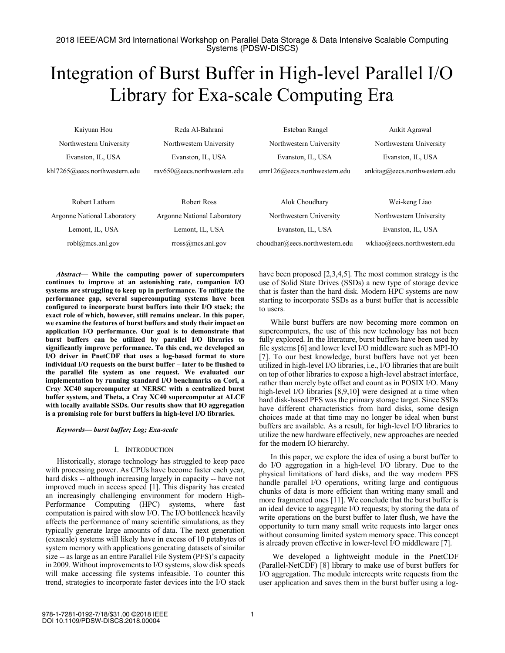# Integration of Burst Buffer in High-level Parallel I/O Library for Exa-scale Computing Era

| Kaiyuan Hou                   | Reda Al-Bahrani                    | Esteban Rangel               | Ankit Agrawal                 |
|-------------------------------|------------------------------------|------------------------------|-------------------------------|
| Northwestern University       | Northwestern University            | Northwestern University      | Northwestern University       |
| Evanston, IL, USA             | Evanston, IL, USA                  | Evanston, IL, USA            | Evanston, IL, USA             |
| khl7265@eecs.northwestern.edu | rav650@eecs.northwestern.edu       | emr126@eecs.northwestern.edu | ankitaq@eecs.northwestern.edu |
| Robert Latham                 | Robert Ross                        | Alok Choudhary               | Wei-keng Liao                 |
| Argonne National Laboratory   | <b>Argonne National Laboratory</b> | Northwestern University      | Northwestern University       |

Lemont, IL, USA Lemont, IL, USA

rross@mcs.anl.gov

choudhar@eecs.northwestern.edu

Evanston, IL, USA

| have been proposed $[2,3,4,5]$ . The most common strategy is the  |
|-------------------------------------------------------------------|
| use of Solid State Drives (SSDs) a new type of storage device     |
| that is faster than the hard disk. Modern HPC systems are now     |
| starting to incorporate SSDs as a burst buffer that is accessible |
| to users.                                                         |

Evanston, IL, USA wkliao@eecs.northwestern.edu

While burst buffers are now becoming more common on supercomputers, the use of this new technology has not been fully explored. In the literature, burst buffers have been used by file systems [6] and lower level I/O middleware such as MPI-IO [7]. To our best knowledge, burst buffers have not yet been utilized in high-level I/O libraries, i.e., I/O libraries that are built on top of other libraries to expose a high-level abstract interface, rather than merely byte offset and count as in POSIX I/O. Many high-level I/O libraries [8,9,10] were designed at a time when hard disk-based PFS was the primary storage target. Since SSDs have different characteristics from hard disks, some design choices made at that time may no longer be ideal when burst buffers are available. As a result, for high-level I/O libraries to utilize the new hardware effectively, new approaches are needed for the modern IO hierarchy.

In this paper, we explore the idea of using a burst buffer to do I/O aggregation in a high-level I/O library. Due to the physical limitations of hard disks, and the way modern PFS handle parallel I/O operations, writing large and contiguous chunks of data is more efficient than writing many small and more fragmented ones [11]. We conclude that the burst buffer is an ideal device to aggregate I/O requests; by storing the data of write operations on the burst buffer to later flush, we have the opportunity to turn many small write requests into larger ones without consuming limited system memory space. This concept is already proven effective in lower-level I/O middleware [7].

We developed a lightweight module in the PnetCDF (Parallel-NetCDF) [8] library to make use of burst buffers for I/O aggregation. The module intercepts write requests from the user application and saves them in the burst buffer using a log-

*Abstract***— While the computing power of supercomputers continues to improve at an astonishing rate, companion I/O systems are struggling to keep up in performance. To mitigate the performance gap, several supercomputing systems have been configured to incorporate burst buffers into their I/O stack; the exact role of which, however, still remains unclear. In this paper, we examine the features of burst buffers and study their impact on application I/O performance. Our goal is to demonstrate that burst buffers can be utilized by parallel I/O libraries to significantly improve performance. To this end, we developed an I/O driver in PnetCDF that uses a log-based format to store individual I/O requests on the burst buffer – later to be flushed to the parallel file system as one request. We evaluated our implementation by running standard I/O benchmarks on Cori, a Cray XC40 supercomputer at NERSC with a centralized burst buffer system, and Theta, a Cray XC40 supercomputer at ALCF with locally available SSDs. Our results show that IO aggregation is a promising role for burst buffers in high-level I/O libraries.**

## *Keywords— burst buffer; Log; Exa-scale*

robl@mcs.anl.gov

## I. INTRODUCTION

Historically, storage technology has struggled to keep pace with processing power. As CPUs have become faster each year, hard disks -- although increasing largely in capacity -- have not improved much in access speed [1]. This disparity has created an increasingly challenging environment for modern High-Performance Computing (HPC) systems, where fast computation is paired with slow I/O. The I/O bottleneck heavily affects the performance of many scientific simulations, as they typically generate large amounts of data. The next generation (exascale) systems will likely have in excess of 10 petabytes of system memory with applications generating datasets of similar size -- as large as an entire Parallel File System (PFS)'s capacity in 2009. Without improvements to I/O systems, slow disk speeds will make accessing file systems infeasible. To counter this trend, strategies to incorporate faster devices into the I/O stack

978-1-7281-0192-7/18/\$31.00 ©2018 IEEE DOI 10.1109/PDSW-DISCS.2018.00004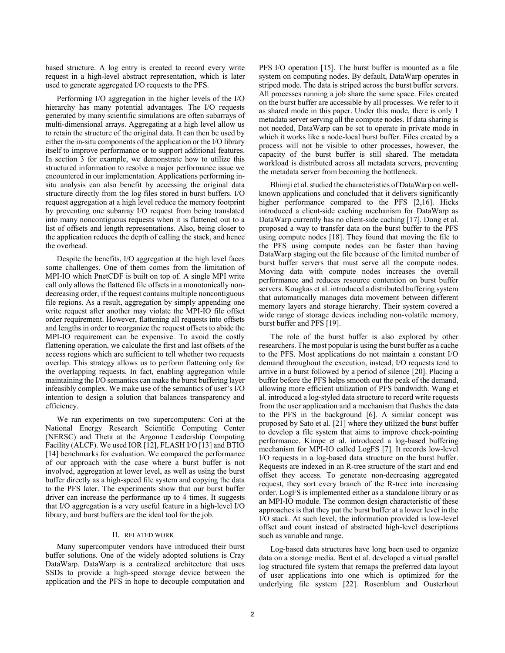based structure. A log entry is created to record every write request in a high-level abstract representation, which is later used to generate aggregated I/O requests to the PFS.

Performing I/O aggregation in the higher levels of the I/O hierarchy has many potential advantages. The I/O requests generated by many scientific simulations are often subarrays of multi-dimensional arrays. Aggregating at a high level allow us to retain the structure of the original data. It can then be used by either the in-situ components of the application or the I/O library itself to improve performance or to support additional features. In section 3 for example, we demonstrate how to utilize this structured information to resolve a major performance issue we encountered in our implementation. Applications performing insitu analysis can also benefit by accessing the original data structure directly from the log files stored in burst buffers. I/O request aggregation at a high level reduce the memory footprint by preventing one subarray I/O request from being translated into many noncontiguous requests when it is flattened out to a list of offsets and length representations. Also, being closer to the application reduces the depth of calling the stack, and hence the overhead.

Despite the benefits, I/O aggregation at the high level faces some challenges. One of them comes from the limitation of MPI-IO which PnetCDF is built on top of. A single MPI write call only allows the flattened file offsets in a monotonically nondecreasing order, if the request contains multiple noncontiguous file regions. As a result, aggregation by simply appending one write request after another may violate the MPI-IO file offset order requirement. However, flattening all requests into offsets and lengths in order to reorganize the request offsets to abide the MPI-IO requirement can be expensive. To avoid the costly flattening operation, we calculate the first and last offsets of the access regions which are sufficient to tell whether two requests overlap. This strategy allows us to perform flattening only for the overlapping requests. In fact, enabling aggregation while maintaining the I/O semantics can make the burst buffering layer infeasibly complex. We make use of the semantics of user's I/O intention to design a solution that balances transparency and efficiency.

We ran experiments on two supercomputers: Cori at the National Energy Research Scientific Computing Center (NERSC) and Theta at the Argonne Leadership Computing Facility (ALCF). We used IOR [12], FLASH I/O [13] and BTIO [14] benchmarks for evaluation. We compared the performance of our approach with the case where a burst buffer is not involved, aggregation at lower level, as well as using the burst buffer directly as a high-speed file system and copying the data to the PFS later. The experiments show that our burst buffer driver can increase the performance up to 4 times. It suggests that I/O aggregation is a very useful feature in a high-level I/O library, and burst buffers are the ideal tool for the job.

#### II. RELATED WORK

Many supercomputer vendors have introduced their burst buffer solutions. One of the widely adopted solutions is Cray DataWarp. DataWarp is a centralized architecture that uses SSDs to provide a high-speed storage device between the application and the PFS in hope to decouple computation and PFS I/O operation [15]. The burst buffer is mounted as a file system on computing nodes. By default, DataWarp operates in striped mode. The data is striped across the burst buffer servers. All processes running a job share the same space. Files created on the burst buffer are accessible by all processes. We refer to it as shared mode in this paper. Under this mode, there is only 1 metadata server serving all the compute nodes. If data sharing is not needed, DataWarp can be set to operate in private mode in which it works like a node-local burst buffer. Files created by a process will not be visible to other processes, however, the capacity of the burst buffer is still shared. The metadata workload is distributed across all metadata servers, preventing the metadata server from becoming the bottleneck.

Bhimji et al. studied the characteristics of DataWarp on wellknown applications and concluded that it delivers significantly higher performance compared to the PFS [2,16]. Hicks introduced a client-side caching mechanism for DataWarp as DataWarp currently has no client-side caching [17]. Dong et al. proposed a way to transfer data on the burst buffer to the PFS using compute nodes [18]. They found that moving the file to the PFS using compute nodes can be faster than having DataWarp staging out the file because of the limited number of burst buffer servers that must serve all the compute nodes. Moving data with compute nodes increases the overall performance and reduces resource contention on burst buffer servers. Kougkas et al. introduced a distributed buffering system that automatically manages data movement between different memory layers and storage hierarchy. Their system covered a wide range of storage devices including non-volatile memory, burst buffer and PFS [19].

The role of the burst buffer is also explored by other researchers. The most popular is using the burst buffer as a cache to the PFS. Most applications do not maintain a constant I/O demand throughout the execution, instead, I/O requests tend to arrive in a burst followed by a period of silence [20]. Placing a buffer before the PFS helps smooth out the peak of the demand, allowing more efficient utilization of PFS bandwidth. Wang et al. introduced a log-styled data structure to record write requests from the user application and a mechanism that flushes the data to the PFS in the background [6]. A similar concept was proposed by Sato et al. [21] where they utilized the burst buffer to develop a file system that aims to improve check-pointing performance. Kimpe et al. introduced a log-based buffering mechanism for MPI-IO called LogFS [7]. It records low-level I/O requests in a log-based data structure on the burst buffer. Requests are indexed in an R-tree structure of the start and end offset they access. To generate non-decreasing aggregated request, they sort every branch of the R-tree into increasing order. LogFS is implemented either as a standalone library or as an MPI-IO module. The common design characteristic of these approaches is that they put the burst buffer at a lower level in the I/O stack. At such level, the information provided is low-level offset and count instead of abstracted high-level descriptions such as variable and range.

Log-based data structures have long been used to organize data on a storage media. Bent et al. developed a virtual parallel log structured file system that remaps the preferred data layout of user applications into one which is optimized for the underlying file system [22]. Rosenblum and Ousterhout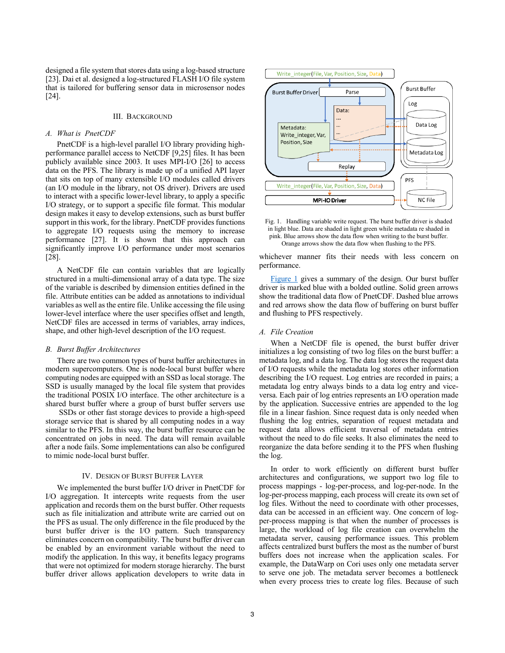designed a file system that stores data using a log-based structure [23]. Dai et al. designed a log-structured FLASH I/O file system that is tailored for buffering sensor data in microsensor nodes [24].

#### III. BACKGROUND

#### *A. What is PnetCDF*

PnetCDF is a high-level parallel I/O library providing highperformance parallel access to NetCDF [9,25] files. It has been publicly available since 2003. It uses MPI-I/O [26] to access data on the PFS. The library is made up of a unified API layer that sits on top of many extensible I/O modules called drivers (an I/O module in the library, not OS driver). Drivers are used to interact with a specific lower-level library, to apply a specific I/O strategy, or to support a specific file format. This modular design makes it easy to develop extensions, such as burst buffer support in this work, for the library. PnetCDF provides functions to aggregate I/O requests using the memory to increase performance [27]. It is shown that this approach can significantly improve I/O performance under most scenarios [28].

A NetCDF file can contain variables that are logically structured in a multi-dimensional array of a data type. The size of the variable is described by dimension entities defined in the file. Attribute entities can be added as annotations to individual variables as well as the entire file. Unlike accessing the file using lower-level interface where the user specifies offset and length, NetCDF files are accessed in terms of variables, array indices, shape, and other high-level description of the I/O request.

#### *B. Burst Buffer Architectures*

There are two common types of burst buffer architectures in modern supercomputers. One is node-local burst buffer where computing nodes are equipped with an SSD as local storage. The SSD is usually managed by the local file system that provides the traditional POSIX I/O interface. The other architecture is a shared burst buffer where a group of burst buffer servers use

SSDs or other fast storage devices to provide a high-speed storage service that is shared by all computing nodes in a way similar to the PFS. In this way, the burst buffer resource can be concentrated on jobs in need. The data will remain available after a node fails. Some implementations can also be configured to mimic node-local burst buffer.

### IV. DESIGN OF BURST BUFFER LAYER

We implemented the burst buffer I/O driver in PnetCDF for I/O aggregation. It intercepts write requests from the user application and records them on the burst buffer. Other requests such as file initialization and attribute write are carried out on the PFS as usual. The only difference in the file produced by the burst buffer driver is the I/O pattern. Such transparency eliminates concern on compatibility. The burst buffer driver can be enabled by an environment variable without the need to modify the application. In this way, it benefits legacy programs that were not optimized for modern storage hierarchy. The burst buffer driver allows application developers to write data in



<span id="page-2-0"></span>

whichever manner fits their needs with less concern on per[formance.](#page-2-0)

Figure 1 gives a summary of the design. Our burst buffer driver is marked blue with a bolded outline. Solid green arrows show the traditional data flow of PnetCDF. Dashed blue arrows and red arrows show the data flow of buffering on burst buffer and flushing to PFS respectively.

#### *A. File Creation*

When a NetCDF file is opened, the burst buffer driver initializes a log consisting of two log files on the burst buffer: a metadata log, and a data log. The data log stores the request data of I/O requests while the metadata log stores other information describing the I/O request. Log entries are recorded in pairs; a metadata log entry always binds to a data log entry and viceversa. Each pair of log entries represents an I/O operation made by the application. Successive entries are appended to the log file in a linear fashion. Since request data is only needed when flushing the log entries, separation of request metadata and request data allows efficient traversal of metadata entries without the need to do file seeks. It also eliminates the need to reorganize the data before sending it to the PFS when flushing the log.

In order to work efficiently on different burst buffer architectures and configurations, we support two log file to process mappings - log-per-process, and log-per-node. In the log-per-process mapping, each process will create its own set of log files. Without the need to coordinate with other processes, data can be accessed in an efficient way. One concern of logper-process mapping is that when the number of processes is large, the workload of log file creation can overwhelm the metadata server, causing performance issues. This problem affects centralized burst buffers the most as the number of burst buffers does not increase when the application scales. For example, the DataWarp on Cori uses only one metadata server to serve one job. The metadata server becomes a bottleneck when every process tries to create log files. Because of such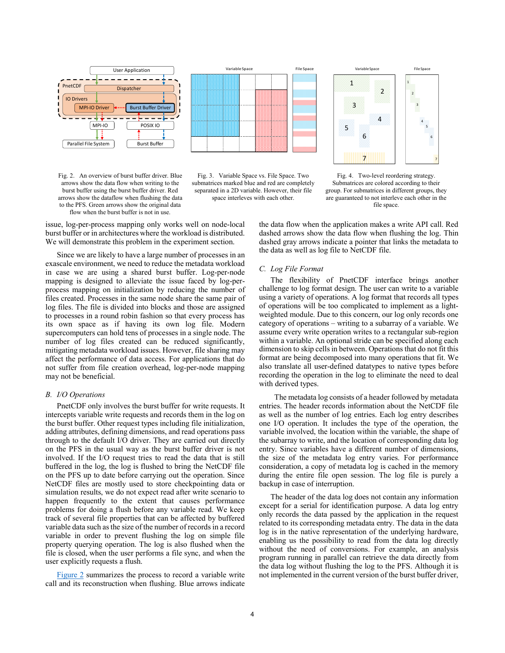

Fig. 2. An overview of burst buffer driver. Blue arrows show the data flow when writing to the burst buffer using the burst buffer driver. Red arrows show the dataflow when flushing the data to the PFS. Green arrows show the original data flow when the burst buffer is not in use.



<span id="page-3-0"></span>Fig. 3. Variable Space vs. File Space. Two submatrices marked blue and red are completely separated in a 2D variable. However, their file space interleves with each other.



<span id="page-3-2"></span><span id="page-3-1"></span>Fig. 4. Two-level reordering strategy. Submatrices are colored according to their group. For submatrices in different groups, they are guaranteed to not interleve each other in the file space.

issue, log-per-process mapping only works well on node-local burst buffer or in architectures where the workload is distributed. We will demonstrate this problem in the experiment section.

Since we are likely to have a large number of processes in an exascale environment, we need to reduce the metadata workload in case we are using a shared burst buffer. Log-per-node mapping is designed to alleviate the issue faced by log-perprocess mapping on initialization by reducing the number of files created. Processes in the same node share the same pair of log files. The file is divided into blocks and those are assigned to processes in a round robin fashion so that every process has its own space as if having its own log file. Modern supercomputers can hold tens of processes in a single node. The number of log files created can be reduced significantly, mitigating metadata workload issues. However, file sharing may affect the performance of data access. For applications that do not suffer from file creation overhead, log-per-node mapping may not be beneficial.

#### *B. I/O Operations*

PnetCDF only involves the burst buffer for write requests. It intercepts variable write requests and records them in the log on the burst buffer. Other request types including file initialization, adding attributes, defining dimensions, and read operations pass through to the default I/O driver. They are carried out directly on the PFS in the usual way as the burst buffer driver is not involved. If the I/O request tries to read the data that is still buffered in the log, the log is flushed to bring the NetCDF file on the PFS up to date before carrying out the operation. Since NetCDF files are mostly used to store checkpointing data or simulation results, we do not expect read after write scenario to happen frequently to the extent that causes performance problems for doing a flush before any variable read. We keep track of several file properties that can be affected by buffered variable data such as the size of the number of records in a record variable in order to prevent flushing the log on simple file property querying operation. The log is also flushed when the file is closed, when the user performs a file sync, and when the user explicitly requests a flush.

[Figure](#page-3-0) 2 summarizes the process to record a variable write call and its reconstruction when flushing. Blue arrows indicate the data flow when the application makes a write API call. Red dashed arrows show the data flow when flushing the log. Thin dashed gray arrows indicate a pointer that links the metadata to the data as well as log file to NetCDF file.

## *C. Log File Format*

The flexibility of PnetCDF interface brings another challenge to log format design. The user can write to a variable using a variety of operations. A log format that records all types of operations will be too complicated to implement as a lightweighted module. Due to this concern, our log only records one category of operations – writing to a subarray of a variable. We assume every write operation writes to a rectangular sub-region within a variable. An optional stride can be specified along each dimension to skip cells in between. Operations that do not fit this format are being decomposed into many operations that fit. We also translate all user-defined datatypes to native types before recording the operation in the log to eliminate the need to deal with derived types.

The metadata log consists of a header followed by metadata entries. The header records information about the NetCDF file as well as the number of log entries. Each log entry describes one I/O operation. It includes the type of the operation, the variable involved, the location within the variable, the shape of the subarray to write, and the location of corresponding data log entry. Since variables have a different number of dimensions, the size of the metadata log entry varies. For performance consideration, a copy of metadata log is cached in the memory during the entire file open session. The log file is purely a backup in case of interruption.

The header of the data log does not contain any information except for a serial for identification purpose. A data log entry only records the data passed by the application in the request related to its corresponding metadata entry. The data in the data log is in the native representation of the underlying hardware, enabling us the possibility to read from the data log directly without the need of conversions. For example, an analysis program running in parallel can retrieve the data directly from the data log without flushing the log to the PFS. Although it is not implemented in the current version of the burst buffer driver,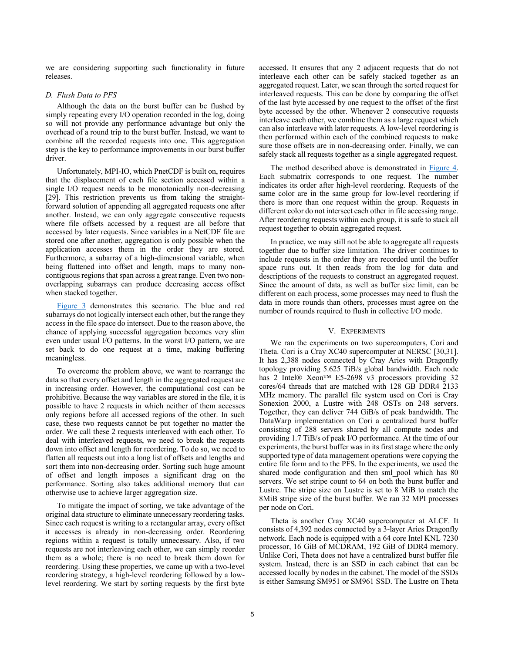we are considering supporting such functionality in future releases.

## *D. Flush Data to PFS*

Although the data on the burst buffer can be flushed by simply repeating every I/O operation recorded in the log, doing so will not provide any performance advantage but only the overhead of a round trip to the burst buffer. Instead, we want to combine all the recorded requests into one. This aggregation step is the key to performance improvements in our burst buffer driver.

Unfortunately, MPI-IO, which PnetCDF is built on, requires that the displacement of each file section accessed within a single I/O request needs to be monotonically non-decreasing [29]. This restriction prevents us from taking the straightforward solution of appending all aggregated requests one after another. Instead, we can only aggregate consecutive requests where file offsets accessed by a request are all before that accessed by later requests. Since variables in a NetCDF file are stored one after another, aggregation is only possible when the application accesses them in the order they are stored. Furthermore, a subarray of a high-dimensional variable, when being flattened into offset and length, maps to many noncontiguous regions that span across a great range. Even two nonoverlapping subarrays can produce decreasing access offset [when stacke](#page-3-1)d together.

Figure 3 demonstrates this scenario. The blue and red subarrays do not logically intersect each other, but the range they access in the file space do intersect. Due to the reason above, the chance of applying successful aggregation becomes very slim even under usual I/O patterns. In the worst I/O pattern, we are set back to do one request at a time, making buffering meaningless.

To overcome the problem above, we want to rearrange the data so that every offset and length in the aggregated request are in increasing order. However, the computational cost can be prohibitive. Because the way variables are stored in the file, it is possible to have 2 requests in which neither of them accesses only regions before all accessed regions of the other. In such case, these two requests cannot be put together no matter the order. We call these 2 requests interleaved with each other. To deal with interleaved requests, we need to break the requests down into offset and length for reordering. To do so, we need to flatten all requests out into a long list of offsets and lengths and sort them into non-decreasing order. Sorting such huge amount of offset and length imposes a significant drag on the performance. Sorting also takes additional memory that can otherwise use to achieve larger aggregation size.

To mitigate the impact of sorting, we take advantage of the original data structure to eliminate unnecessary reordering tasks. Since each request is writing to a rectangular array, every offset it accesses is already in non-decreasing order. Reordering regions within a request is totally unnecessary. Also, if two requests are not interleaving each other, we can simply reorder them as a whole; there is no need to break them down for reordering. Using these properties, we came up with a two-level reordering strategy, a high-level reordering followed by a lowlevel reordering. We start by sorting requests by the first byte accessed. It ensures that any 2 adjacent requests that do not interleave each other can be safely stacked together as an aggregated request. Later, we scan through the sorted request for interleaved requests. This can be done by comparing the offset of the last byte accessed by one request to the offset of the first byte accessed by the other. Whenever 2 consecutive requests interleave each other, we combine them as a large request which can also interleave with later requests. A low-level reordering is then performed within each of the combined requests to make sure those offsets are in non-decreasing order. Finally, we can safely stack all requests together as a single aggregated [request.](#page-3-2)

The method described above is demonstrated in Figure 4. Each submatrix corresponds to one request. The number indicates its order after high-level reordering. Requests of the same color are in the same group for low-level reordering if there is more than one request within the group. Requests in different color do not intersect each other in file accessing range. After reordering requests within each group, it is safe to stack all request together to obtain aggregated request.

In practice, we may still not be able to aggregate all requests together due to buffer size limitation. The driver continues to include requests in the order they are recorded until the buffer space runs out. It then reads from the log for data and descriptions of the requests to construct an aggregated request. Since the amount of data, as well as buffer size limit, can be different on each process, some processes may need to flush the data in more rounds than others, processes must agree on the number of rounds required to flush in collective I/O mode.

### V. EXPERIMENTS

We ran the experiments on two supercomputers, Cori and Theta. Cori is a Cray XC40 supercomputer at NERSC [30,31]. It has 2,388 nodes connected by Cray Aries with Dragonfly topology providing 5.625 TiB/s global bandwidth. Each node has 2 Intel® Xeon™ E5-2698 v3 processors providing 32 cores/64 threads that are matched with 128 GB DDR4 2133 MHz memory. The parallel file system used on Cori is Cray Sonexion 2000, a Lustre with 248 OSTs on 248 servers. Together, they can deliver 744 GiB/s of peak bandwidth. The DataWarp implementation on Cori a centralized burst buffer consisting of 288 servers shared by all compute nodes and providing 1.7 TiB/s of peak I/O performance. At the time of our experiments, the burst buffer was in its first stage where the only supported type of data management operations were copying the entire file form and to the PFS. In the experiments, we used the shared mode configuration and then sml\_pool which has 80 servers. We set stripe count to 64 on both the burst buffer and Lustre. The stripe size on Lustre is set to 8 MiB to match the 8MiB stripe size of the burst buffer. We ran 32 MPI processes per node on Cori.

Theta is another Cray XC40 supercomputer at ALCF. It consists of 4,392 nodes connected by a 3-layer Aries Dragonfly network. Each node is equipped with a 64 core Intel KNL 7230 processor, 16 GiB of MCDRAM, 192 GiB of DDR4 memory. Unlike Cori, Theta does not have a centralized burst buffer file system. Instead, there is an SSD in each cabinet that can be accessed locally by nodes in the cabinet. The model of the SSDs is either Samsung SM951 or SM961 SSD. The Lustre on Theta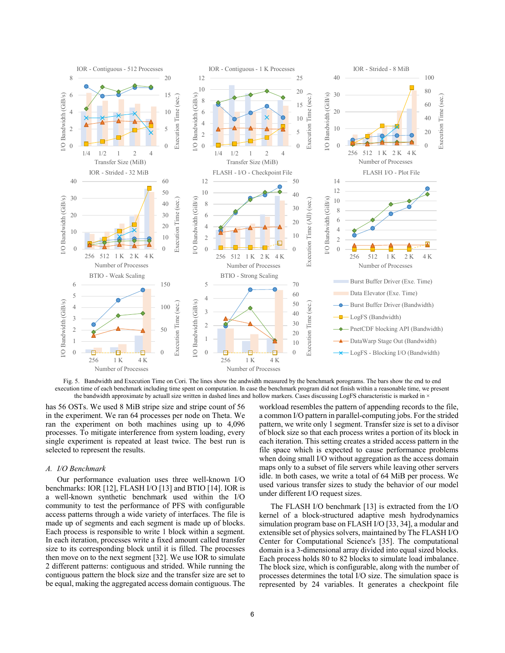

Fig. 5. Bandwidth and Execution Time on Cori. The lines show the andwidth measured by the benchmark porograms. The bars show the end to end execution time of each benchmark including time spent on computation. In case the benchmark program did not finish within a reasonable time, we present the bandwidth approximate by actuall size written in dashed lines and hollow markers. Cases discussing LogFS characteristic is marked in  $\rightarrow$ 

has 56 OSTs. We used 8 MiB stripe size and stripe count of 56 in the experiment. We ran 64 processes per node on Theta. We ran the experiment on both machines using up to 4,096 processes. To mitigate interference from system loading, every single experiment is repeated at least twice. The best run is selected to represent the results.

#### *A. I/O Benchmark*

Our performance evaluation uses three well-known I/O benchmarks: IOR [12], FLASH I/O [13] and BTIO [14]. IOR is a well-known synthetic benchmark used within the I/O community to test the performance of PFS with configurable access patterns through a wide variety of interfaces. The file is made up of segments and each segment is made up of blocks. Each process is responsible to write 1 block within a segment. In each iteration, processes write a fixed amount called transfer size to its corresponding block until it is filled. The processes then move on to the next segment [32]. We use IOR to simulate 2 different patterns: contiguous and strided. While running the contiguous pattern the block size and the transfer size are set to be equal, making the aggregated access domain contiguous. The <span id="page-5-0"></span>workload resembles the pattern of appending records to the file, a common I/O pattern in parallel-computing jobs. For the strided pattern, we write only 1 segment. Transfer size is set to a divisor of block size so that each process writes a portion of its block in each iteration. This setting creates a strided access pattern in the file space which is expected to cause performance problems when doing small I/O without aggregation as the access domain maps only to a subset of file servers while leaving other servers idle. In both cases, we write a total of 64 MiB per process. We used various transfer sizes to study the behavior of our model under different I/O request sizes.

The FLASH I/O benchmark [13] is extracted from the I/O kernel of a block-structured adaptive mesh hydrodynamics simulation program base on FLASH I/O [33, 34], a modular and extensible set of physics solvers, maintained by The FLASH I/O Center for Computational Science's [35]. The computational domain is a 3-dimensional array divided into equal sized blocks. Each process holds 80 to 82 blocks to simulate load imbalance. The block size, which is configurable, along with the number of processes determines the total I/O size. The simulation space is represented by 24 variables. It generates a checkpoint file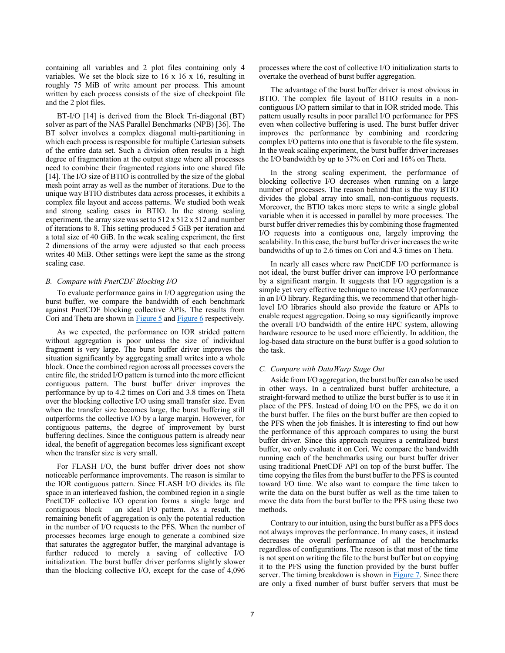containing all variables and 2 plot files containing only 4 variables. We set the block size to 16 x 16 x 16, resulting in roughly 75 MiB of write amount per process. This amount written by each process consists of the size of checkpoint file and the 2 plot files.

BT-I/O [14] is derived from the Block Tri-diagonal (BT) solver as part of the NAS Parallel Benchmarks (NPB) [36]. The BT solver involves a complex diagonal multi-partitioning in which each process is responsible for multiple Cartesian subsets of the entire data set. Such a division often results in a high degree of fragmentation at the output stage where all processes need to combine their fragmented regions into one shared file [14]. The I/O size of BTIO is controlled by the size of the global mesh point array as well as the number of iterations. Due to the unique way BTIO distributes data across processes, it exhibits a complex file layout and access patterns. We studied both weak and strong scaling cases in BTIO. In the strong scaling experiment, the array size was set to  $512 \times 512 \times 512$  and number of iterations to 8. This setting produced 5 GiB per iteration and a total size of 40 GiB. In the weak scaling experiment, the first 2 dimensions of the array were adjusted so that each process writes 40 MiB. Other settings were kept the same as the strong scaling case.

### *B. Compare with PnetCDF Blocking I/O*

To evaluate performance gains in I/O aggregation using the burst buffer, we compare the bandwidth of each benchmark against PnetCDF blockin[g collectiv](#page-5-0)e [APIs. The](#page-7-0) results from Cori and Theta are shown in Figure 5 and Figure 6 respectively.

As we expected, the performance on IOR strided pattern without aggregation is poor unless the size of individual fragment is very large. The burst buffer driver improves the situation significantly by aggregating small writes into a whole block. Once the combined region across all processes covers the entire file, the strided I/O pattern is turned into the more efficient contiguous pattern. The burst buffer driver improves the performance by up to 4.2 times on Cori and 3.8 times on Theta over the blocking collective I/O using small transfer size. Even when the transfer size becomes large, the burst buffering still outperforms the collective I/O by a large margin. However, for contiguous patterns, the degree of improvement by burst buffering declines. Since the contiguous pattern is already near ideal, the benefit of aggregation becomes less significant except when the transfer size is very small.

For FLASH I/O, the burst buffer driver does not show noticeable performance improvements. The reason is similar to the IOR contiguous pattern. Since FLASH I/O divides its file space in an interleaved fashion, the combined region in a single PnetCDF collective I/O operation forms a single large and contiguous block – an ideal I/O pattern. As a result, the remaining benefit of aggregation is only the potential reduction in the number of I/O requests to the PFS. When the number of processes becomes large enough to generate a combined size that saturates the aggregator buffer, the marginal advantage is further reduced to merely a saving of collective I/O initialization. The burst buffer driver performs slightly slower than the blocking collective I/O, except for the case of 4,096

processes where the cost of collective I/O initialization starts to overtake the overhead of burst buffer aggregation.

The advantage of the burst buffer driver is most obvious in BTIO. The complex file layout of BTIO results in a noncontiguous I/O pattern similar to that in IOR strided mode. This pattern usually results in poor parallel I/O performance for PFS even when collective buffering is used. The burst buffer driver improves the performance by combining and reordering complex I/O patterns into one that is favorable to the file system. In the weak scaling experiment, the burst buffer driver increases the I/O bandwidth by up to 37% on Cori and 16% on Theta.

In the strong scaling experiment, the performance of blocking collective I/O decreases when running on a large number of processes. The reason behind that is the way BTIO divides the global array into small, non-contiguous requests. Moreover, the BTIO takes more steps to write a single global variable when it is accessed in parallel by more processes. The burst buffer driver remedies this by combining those fragmented I/O requests into a contiguous one, largely improving the scalability. In this case, the burst buffer driver increases the write bandwidths of up to 2.6 times on Cori and 4.3 times on Theta.

In nearly all cases where raw PnetCDF I/O performance is not ideal, the burst buffer driver can improve I/O performance by a significant margin. It suggests that I/O aggregation is a simple yet very effective technique to increase I/O performance in an I/O library. Regarding this, we recommend that other highlevel I/O libraries should also provide the feature or APIs to enable request aggregation. Doing so may significantly improve the overall I/O bandwidth of the entire HPC system, allowing hardware resource to be used more efficiently. In addition, the log-based data structure on the burst buffer is a good solution to the task.

#### <span id="page-6-0"></span>*C. Compare with DataWarp Stage Out*

Aside from I/O aggregation, the burst buffer can also be used in other ways. In a centralized burst buffer architecture, a straight-forward method to utilize the burst buffer is to use it in place of the PFS. Instead of doing I/O on the PFS, we do it on the burst buffer. The files on the burst buffer are then copied to the PFS when the job finishes. It is interesting to find out how the performance of this approach compares to using the burst buffer driver. Since this approach requires a centralized burst buffer, we only evaluate it on Cori. We compare the bandwidth running each of the benchmarks using our burst buffer driver using traditional PnetCDF API on top of the burst buffer. The time copying the files from the burst buffer to the PFS is counted toward I/O time. We also want to compare the time taken to write the data on the burst buffer as well as the time taken to move the data from the burst buffer to the PFS using these two methods.

Contrary to our intuition, using the burst buffer as a PFS does not always improves the performance. In many cases, it instead decreases the overall performance of all the benchmarks regardless of configurations. The reason is that most of the time is not spent on writing the file to the burst buffer but on copying it to the PFS using the function provided by the burst buffer server. The timing breakdown is shown in [Figure 7. Si](#page-8-0)nce there are only a fixed number of burst buffer servers that must be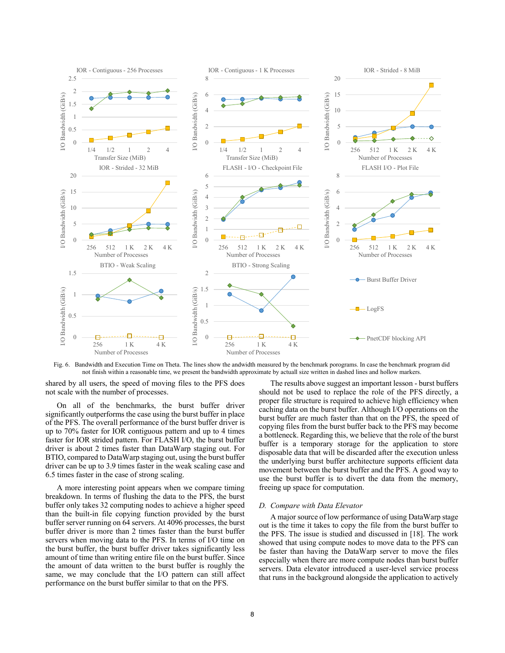

Fig. 6. Bandwidth and Execution Time on Theta. The lines show the andwidth measured by the benchmark porograms. In case the benchmark program did not finish within a reasonable time, we present the bandwidth approximate by actuall size written in dashed lines and hollow markers.

shared by all users, the speed of moving files to the PFS does not scale with the number of processes.

On all of the benchmarks, the burst buffer driver significantly outperforms the case using the burst buffer in place of the PFS. The overall performance of the burst buffer driver is up to 70% faster for IOR contiguous pattern and up to 4 times faster for IOR strided pattern. For FLASH I/O, the burst buffer driver is about 2 times faster than DataWarp staging out. For BTIO, compared to DataWarp staging out, using the burst buffer driver can be up to 3.9 times faster in the weak scaling case and 6.5 times faster in the case of strong scaling.

A more interesting point appears when we compare timing breakdown. In terms of flushing the data to the PFS, the burst buffer only takes 32 computing nodes to achieve a higher speed than the built-in file copying function provided by the burst buffer server running on 64 servers. At 4096 processes, the burst buffer driver is more than 2 times faster than the burst buffer servers when moving data to the PFS. In terms of I/O time on the burst buffer, the burst buffer driver takes significantly less amount of time than writing entire file on the burst buffer. Since the amount of data written to the burst buffer is roughly the same, we may conclude that the I/O pattern can still affect performance on the burst buffer similar to that on the PFS.

<span id="page-7-0"></span>The results above suggest an important lesson - burst buffers should not be used to replace the role of the PFS directly, a proper file structure is required to achieve high efficiency when caching data on the burst buffer. Although I/O operations on the burst buffer are much faster than that on the PFS, the speed of copying files from the burst buffer back to the PFS may become a bottleneck. Regarding this, we believe that the role of the burst buffer is a temporary storage for the application to store disposable data that will be discarded after the execution unless the underlying burst buffer architecture supports efficient data movement between the burst buffer and the PFS. A good way to use the burst buffer is to divert the data from the memory, freeing up space for computation.

#### *D. Compare with Data Elevator*

A major source of low performance of using DataWarp stage out is the time it takes to copy the file from the burst buffer to the PFS. The issue is studied and discussed in [18]. The work showed that using compute nodes to move data to the PFS can be faster than having the DataWarp server to move the files especially when there are more compute nodes than burst buffer servers. Data elevator introduced a user-level service process that runs in the background alongside the application to actively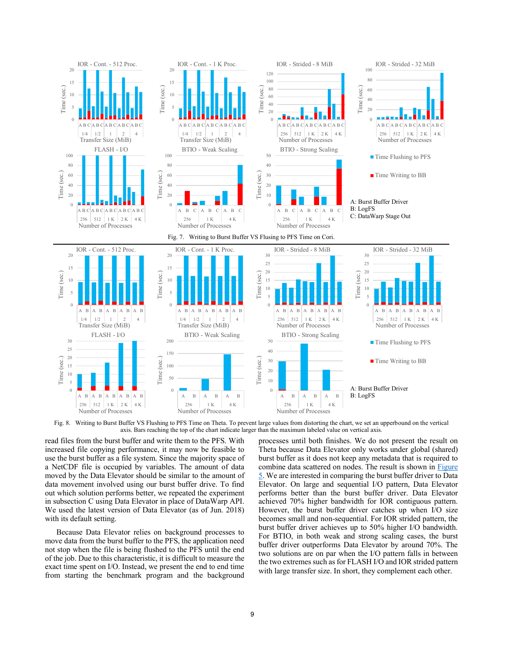

Fig. 8. Writing to Burst Buffer VS Flushing to PFS Time on Theta. To prevent large values from distorting the chart, we set an upperbound on the vertical axis. Bars reaching the top of the chart indicate larger than the maximum labeled value on vertical axis.

read files from the burst buffer and write them to the PFS. With increased file copying performance, it may now be feasible to use the burst buffer as a file system. Since the majority space of a NetCDF file is occupied by variables. The amount of data moved by the Data Elevator should be similar to the amount of data movement involved using our burst buffer drive. To find out which solution performs better, we repeated the experiment in subsection C using Data Elevator in place of DataWarp API. We used t[he l](#page-6-0)atest version of Data Elevator (as of Jun. 2018) with its default setting.

Because Data Elevator relies on background processes to move data from the burst buffer to the PFS, the application need not stop when the file is being flushed to the PFS until the end of the job. Due to this characteristic, it is difficult to measure the exact time spent on I/O. Instead, we present the end to end time from starting the benchmark program and the background

<span id="page-8-0"></span>processes until both finishes. We do not present the result on Theta because Data Elevator only works under global (shared) burst buffer as it does not keep any metadata that is required to combine data scattered on nodes. The result is shown in Figure 5. We are interested in comparing the burst buffer driver to [Data](#page-5-0)  [El](#page-5-0)evator. On large and sequential I/O pattern, Data Elevator performs better than the burst buffer driver. Data Elevator achieved 70% higher bandwidth for IOR contiguous pattern. However, the burst buffer driver catches up when I/O size becomes small and non-sequential. For IOR strided pattern, the burst buffer driver achieves up to 50% higher I/O bandwidth. For BTIO, in both weak and strong scaling cases, the burst buffer driver outperforms Data Elevator by around 70%. The two solutions are on par when the I/O pattern falls in between the two extremes such as for FLASH I/O and IOR strided pattern with large transfer size. In short, they complement each other.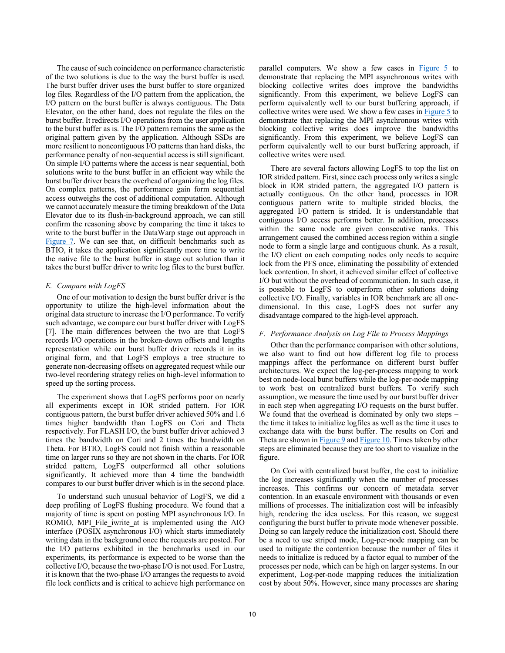The cause of such coincidence on performance characteristic of the two solutions is due to the way the burst buffer is used. The burst buffer driver uses the burst buffer to store organized log files. Regardless of the I/O pattern from the application, the I/O pattern on the burst buffer is always contiguous. The Data Elevator, on the other hand, does not regulate the files on the burst buffer. It redirects I/O operations from the user application to the burst buffer as is. The I/O pattern remains the same as the original pattern given by the application. Although SSDs are more resilient to noncontiguous I/O patterns than hard disks, the performance penalty of non-sequential access is still significant. On simple I/O patterns where the access is near sequential, both solutions write to the burst buffer in an efficient way while the burst buffer driver bears the overhead of organizing the log files. On complex patterns, the performance gain form sequential access outweighs the cost of additional computation. Although we cannot accurately measure the timing breakdown of the Data Elevator due to its flush-in-background approach, we can still confirm the reasoning above by comparing the time it takes to [write to](#page-8-0) the burst buffer in the DataWarp stage out approach in Figure 7. We can see that, on difficult benchmarks such as BTIO, it takes the application significantly more time to write the native file to the burst buffer in stage out solution than it takes the burst buffer driver to write log files to the burst buffer.

## *E. Compare with LogFS*

One of our motivation to design the burst buffer driver is the opportunity to utilize the high-level information about the original data structure to increase the I/O performance. To verify such advantage, we compare our burst buffer driver with LogFS [7]. The main differences between the two are that LogFS records I/O operations in the broken-down offsets and lengths representation while our burst buffer driver records it in its original form, and that LogFS employs a tree structure to generate non-decreasing offsets on aggregated request while our two-level reordering strategy relies on high-level information to speed up the sorting process.

The experiment shows that LogFS performs poor on nearly all experiments except in IOR strided pattern. For IOR contiguous pattern, the burst buffer driver achieved 50% and 1.6 times higher bandwidth than LogFS on Cori and Theta respectively. For FLASH I/O, the burst buffer driver achieved 3 times the bandwidth on Cori and 2 times the bandwidth on Theta. For BTIO, LogFS could not finish within a reasonable time on larger runs so they are not shown in the charts. For IOR strided pattern, LogFS outperformed all other solutions significantly. It achieved more than 4 time the bandwidth compares to our burst buffer driver which is in the second place.

To understand such unusual behavior of LogFS, we did a deep profiling of LogFS flushing procedure. We found that a majority of time is spent on posting MPI asynchronous I/O. In ROMIO, MPI File iwrite at is implemented using the AIO interface (POSIX asynchronous I/O) which starts immediately writing data in the background once the requests are posted. For the I/O patterns exhibited in the benchmarks used in our experiments, its performance is expected to be worse than the collective I/O, because the two-phase I/O is not used. For Lustre, it is known that the two-phase I/O arranges the requests to avoid file lock conflicts and is critical to achieve high performance on parallel computers. We show a few cases in  $Figure 5$  to demonstrate that replacing the MPI asynchronous writes with blocking collective writes does improve the bandwidths significantly. From this experiment, we believe L[ogFS can](#page-5-0)  perform equivalently well to our burst buffering approach, if collective writes were used. We show a few cases in  $Figure 5$  to demonstrate that replacing the MPI asynchronous writes with blocking collective writes does improve the bandwidths significantly. From this experiment, we believe LogFS can perform equivalently well to our burst buffering approach, if collective writes were used.

There are several factors allowing LogFS to top the list on IOR strided pattern. First, since each process only writes a single block in IOR strided pattern, the aggregated I/O pattern is actually contiguous. On the other hand, processes in IOR contiguous pattern write to multiple strided blocks, the aggregated I/O pattern is strided. It is understandable that contiguous I/O access performs better. In addition, processes within the same node are given consecutive ranks. This arrangement caused the combined access region within a single node to form a single large and contiguous chunk. As a result, the I/O client on each computing nodes only needs to acquire lock from the PFS once, eliminating the possibility of extended lock contention. In short, it achieved similar effect of collective I/O but without the overhead of communication. In such case, it is possible to LogFS to outperform other solutions doing collective I/O. Finally, variables in IOR benchmark are all onedimensional. In this case, LogFS does not surfer any disadvantage compared to the high-level approach.

## *F. Performance Analysis on Log File to Process Mappings*

Other than the performance comparison with other solutions, we also want to find out how different log file to process mappings affect the performance on different burst buffer architectures. We expect the log-per-process mapping to work best on node-local burst buffers while the log-per-node mapping to work best on centralized burst buffers. To verify such assumption, we measure the time used by our burst buffer driver in each step when aggregating I/O requests on the burst buffer. We found that the overhead is dominated by only two steps the time it takes to initialize logfiles as well as the time it uses to exchange data wit[h the burst](#page-10-0) b[uffer. The r](#page-10-1)esults on Cori and Theta are shown in Figure 9 and Figure 10. Times taken by other steps are eliminated because they are too short to visualize in the figure.

On Cori with centralized burst buffer, the cost to initialize the log increases significantly when the number of processes increases. This confirms our concern of metadata server contention. In an exascale environment with thousands or even millions of processes. The initialization cost will be infeasibly high, rendering the idea useless. For this reason, we suggest configuring the burst buffer to private mode whenever possible. Doing so can largely reduce the initialization cost. Should there be a need to use striped mode, Log-per-node mapping can be used to mitigate the contention because the number of files it needs to initialize is reduced by a factor equal to number of the processes per node, which can be high on larger systems. In our experiment, Log-per-node mapping reduces the initialization cost by about 50%. However, since many processes are sharing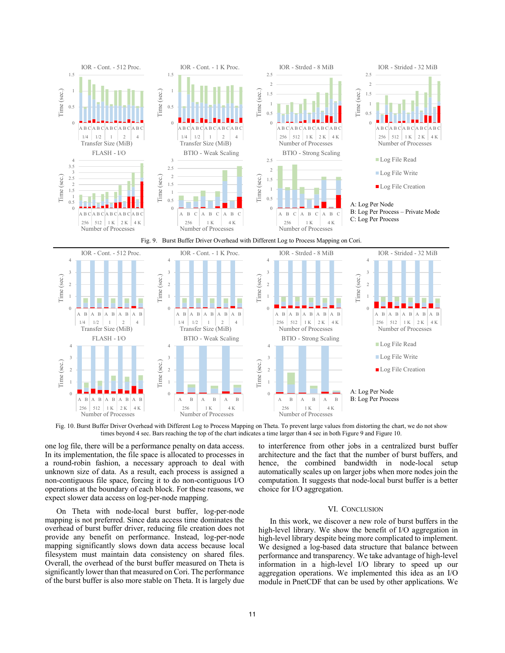

Fig. 10. Burst Buffer Driver Overhead with Different Log to Process Mapping on Theta. To prevent large values from distorting the chart, we do not show times beyond 4 sec. Bars reaching the top of the chart indicates a time larger than 4 sec in both Figure 9 and Figure 10.

one log file, there will be a performance penalty on data access. In its implementation, the file space is allocated to processes in a round-robin fashion, a necessary approach to deal with unknown size of data. As a result, each process is assigned a non-contiguous file space, forcing it to do non-contiguous I/O operations at the boundary of each block. For these reasons, we expect slower data access on log-per-node mapping.

On Theta with node-local burst buffer, log-per-node mapping is not preferred. Since data access time dominates the overhead of burst buffer driver, reducing file creation does not provide any benefit on performance. Instead, log-per-node mapping significantly slows down data access because local filesystem must maintain data consistency on shared files. Overall, the overhead of the burst buffer measured on Theta is significantly lower than that measured on Cori. The performance of the burst buffer is also more stable on Theta. It is largely due

<span id="page-10-1"></span><span id="page-10-0"></span>to interference from other jobs in a centralized burst buffer architecture and the fact that the number of burst buffers, and hence, the combined bandwidth in node-local setup automatically scales up on larger jobs when more nodes join the computation. It suggests that node-local burst buffer is a better choice for I/O aggregation.

#### VI. CONCLUSION

In this work, we discover a new role of burst buffers in the high-level library. We show the benefit of I/O aggregation in high-level library despite being more complicated to implement. We designed a log-based data structure that balance between performance and transparency. We take advantage of high-level information in a high-level I/O library to speed up our aggregation operations. We implemented this idea as an I/O module in PnetCDF that can be used by other applications. We